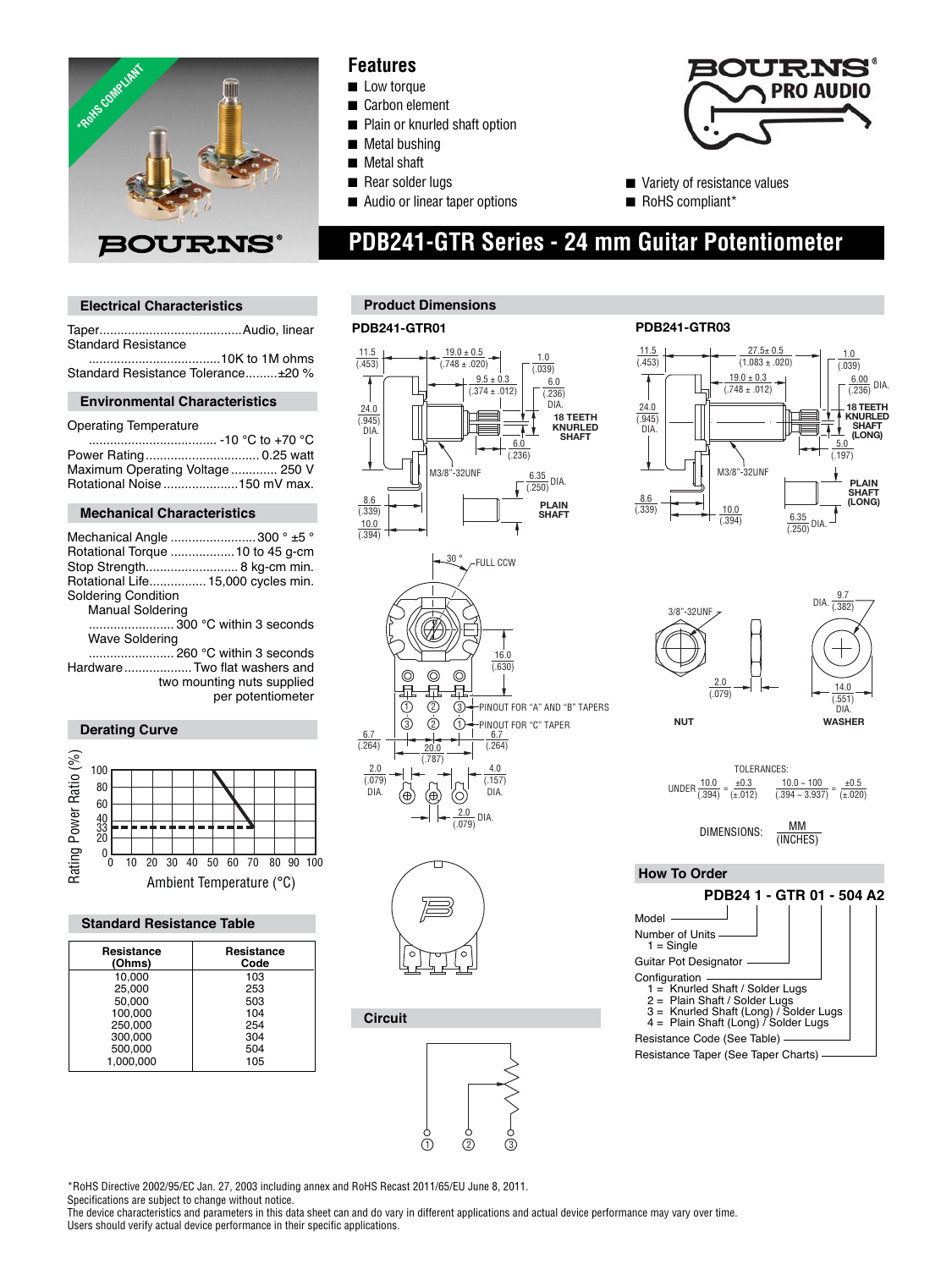

## **Features**

- Low torque
- Carbon element
- Plain or knurled shaft option
- **Metal bushing**
- Metal shaft
- Rear solder lugs
- Audio or linear taper options



- Variety of resistance values
- RoHS compliant\*

 **PDB241-GTR Series - 24 mm Guitar Potentiometer**

Taper........................................Audio, linear

 .....................................10K to 1M ohms Standard Resistance Tolerance .........±20 % **Environmental Characteristics**

 .................................... -10 °C to +70 °C Power Rating ................................ 0.25 watt Maximum Operating Voltage ............. 250 V Rotational Noise .....................150 mV max.

**Mechanical Characteristics**

Mechanical Angle ........................300 ° ±5 ° Rotational Torque ..................10 to 45 g-cm Stop Strength.......................... 8 kg-cm min. Rotational Life................15,000 cycles min.

........................ 300 °C within 3 seconds

 two mounting nuts supplied per potentiometer

Ambient Temperature (°C) 10 20 40 50 60 70 80 90 100 30

**Standard Resistance Table**

Resistance Resistance<br>
(Ohms) Code **(Ohms)** Cod<br>10.000 103 10,000 103<br>25,000 253 25,000 253<br>50,000 503 50,000 503<br>100,000 104 100,000 104<br>250,000 254 250,000 254<br>300,000 254 300,000 304<br>500,000 504 500,000 504<br>1.000.000 105

 ........................ 260 °C within 3 seconds Hardware ................... Two flat washers and

**Electrical Characteristics**

Standard Resistance

Operating Temperature

Soldering Condition Manual Soldering

Wave Soldering

**Derating Curve**

Rating Power Ratio (%)

Rating Power Ratio (%)

0

1,000,000

## **Product Dimensions**

#### **PDB241-GTR01 PDB241-GTR03**





#### **Circuit**









 **How To Order**



\*RoHS Directive 2002/95/EC Jan. 27, 2003 including annex and RoHS Recast 2011/65/EU June 8, 2011.

Specifications are subject to change without notice.

The device characteristics and parameters in this data sheet can and do vary in different applications and actual device performance may vary over time. Users should verify actual device performance in their specific applications.